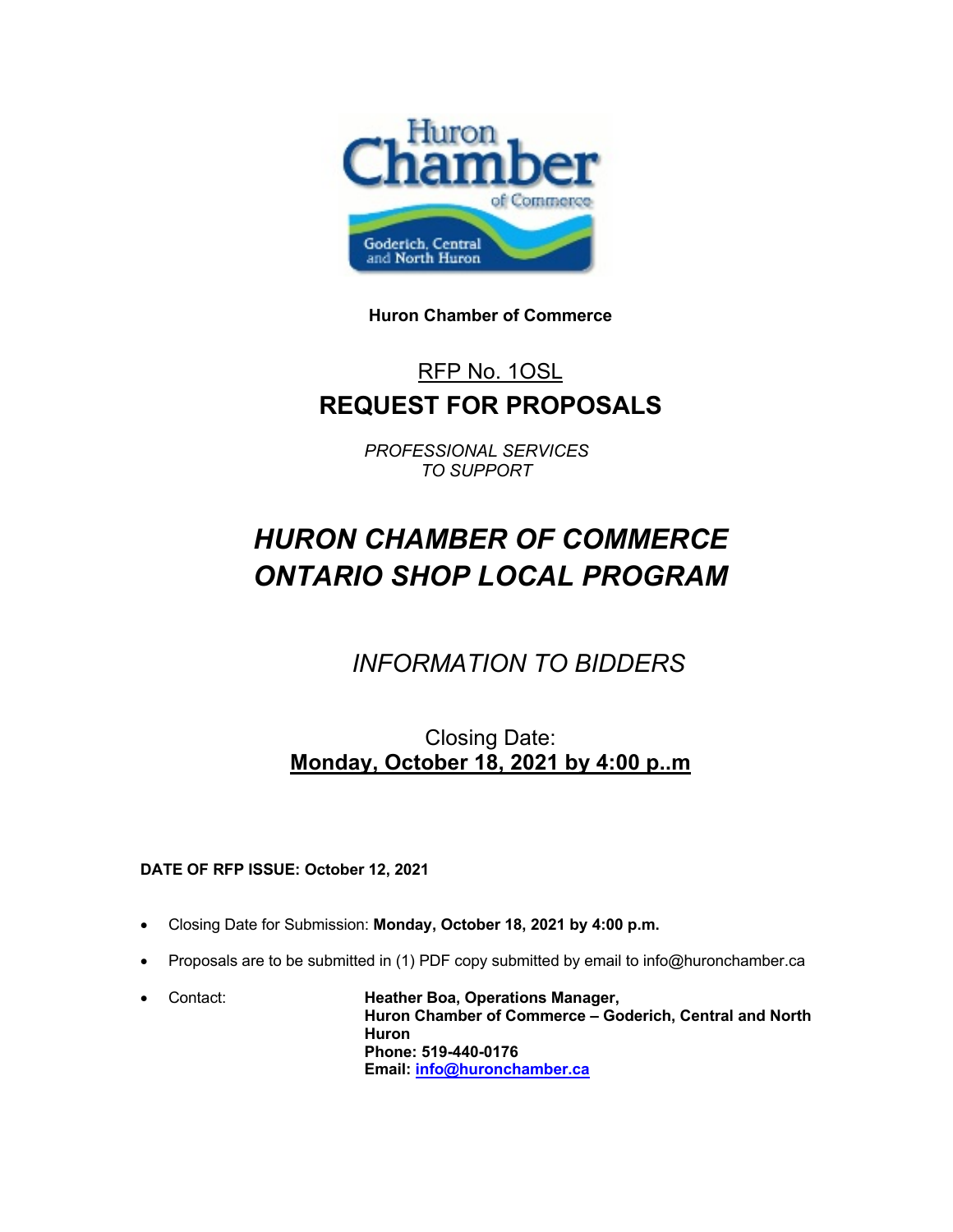

**Huron Chamber of Commerce**

# RFP No. 1OSL **REQUEST FOR PROPOSALS**

*PROFESSIONAL SERVICES TO SUPPORT*

# *HURON CHAMBER OF COMMERCE ONTARIO SHOP LOCAL PROGRAM*

*INFORMATION TO BIDDERS*

Closing Date: **Monday, October 18, 2021 by 4:00 p..m**

#### **DATE OF RFP ISSUE: October 12, 2021**

- Closing Date for Submission: **Monday, October 18, 2021 by 4:00 p.m.**
- Proposals are to be submitted in (1) PDF copy submitted by email to info@huronchamber.ca
- Contact: **Heather Boa, Operations Manager, Huron Chamber of Commerce – Goderich, Central and North Huron Phone: 519-440-0176 Email: info@huronchamber.ca**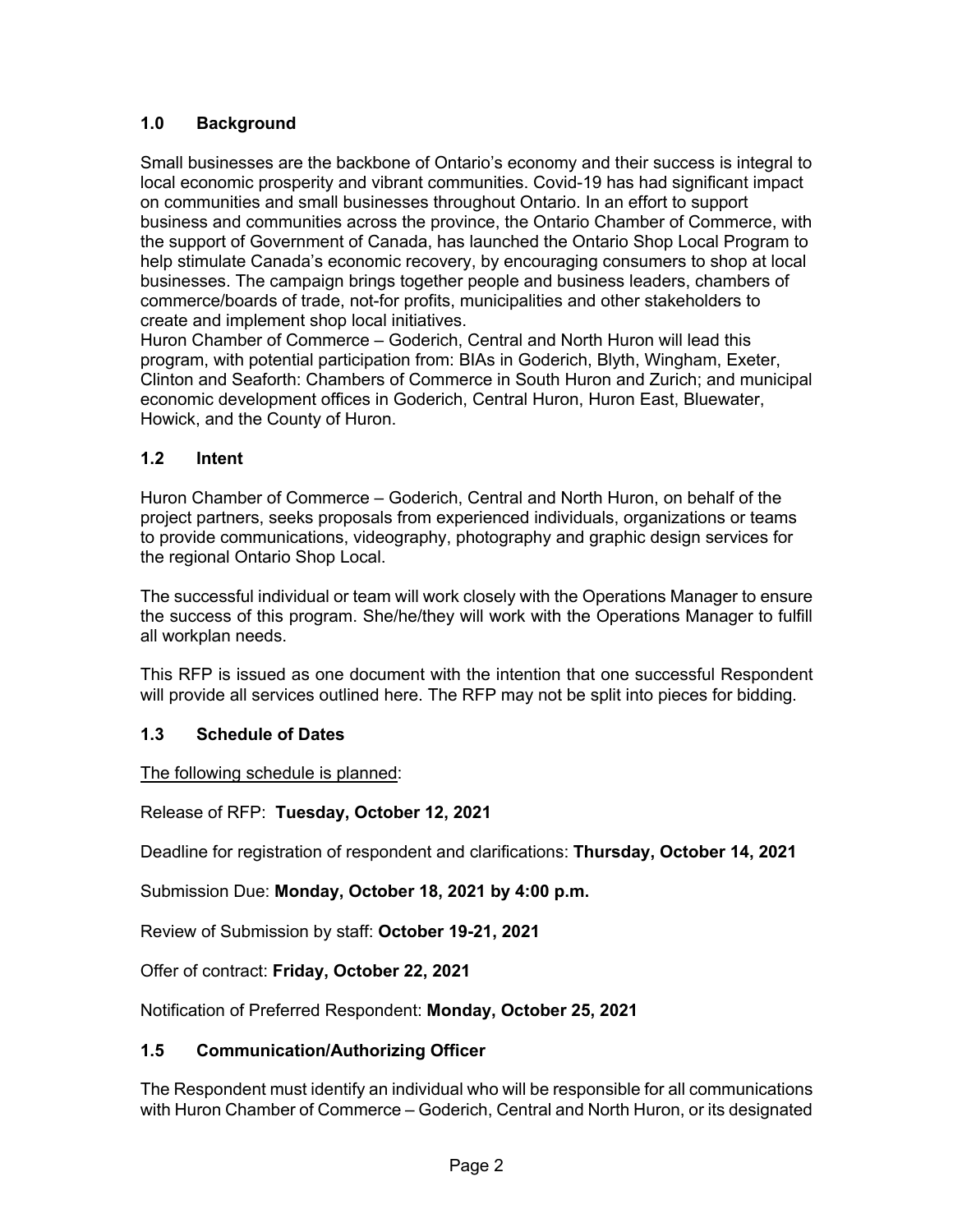# **1.0 Background**

Small businesses are the backbone of Ontario's economy and their success is integral to local economic prosperity and vibrant communities. Covid-19 has had significant impact on communities and small businesses throughout Ontario. In an effort to support business and communities across the province, the Ontario Chamber of Commerce, with the support of Government of Canada, has launched the Ontario Shop Local Program to help stimulate Canada's economic recovery, by encouraging consumers to shop at local businesses. The campaign brings together people and business leaders, chambers of commerce/boards of trade, not-for profits, municipalities and other stakeholders to create and implement shop local initiatives.

Huron Chamber of Commerce – Goderich, Central and North Huron will lead this program, with potential participation from: BIAs in Goderich, Blyth, Wingham, Exeter, Clinton and Seaforth: Chambers of Commerce in South Huron and Zurich; and municipal economic development offices in Goderich, Central Huron, Huron East, Bluewater, Howick, and the County of Huron.

#### **1.2 Intent**

Huron Chamber of Commerce – Goderich, Central and North Huron, on behalf of the project partners, seeks proposals from experienced individuals, organizations or teams to provide communications, videography, photography and graphic design services for the regional Ontario Shop Local.

The successful individual or team will work closely with the Operations Manager to ensure the success of this program. She/he/they will work with the Operations Manager to fulfill all workplan needs.

This RFP is issued as one document with the intention that one successful Respondent will provide all services outlined here. The RFP may not be split into pieces for bidding.

#### **1.3 Schedule of Dates**

The following schedule is planned:

Release of RFP: **Tuesday, October 12, 2021**

Deadline for registration of respondent and clarifications: **Thursday, October 14, 2021**

Submission Due: **Monday, October 18, 2021 by 4:00 p.m.**

Review of Submission by staff: **October 19-21, 2021**

Offer of contract: **Friday, October 22, 2021**

Notification of Preferred Respondent: **Monday, October 25, 2021**

#### **1.5 Communication/Authorizing Officer**

The Respondent must identify an individual who will be responsible for all communications with Huron Chamber of Commerce – Goderich, Central and North Huron, or its designated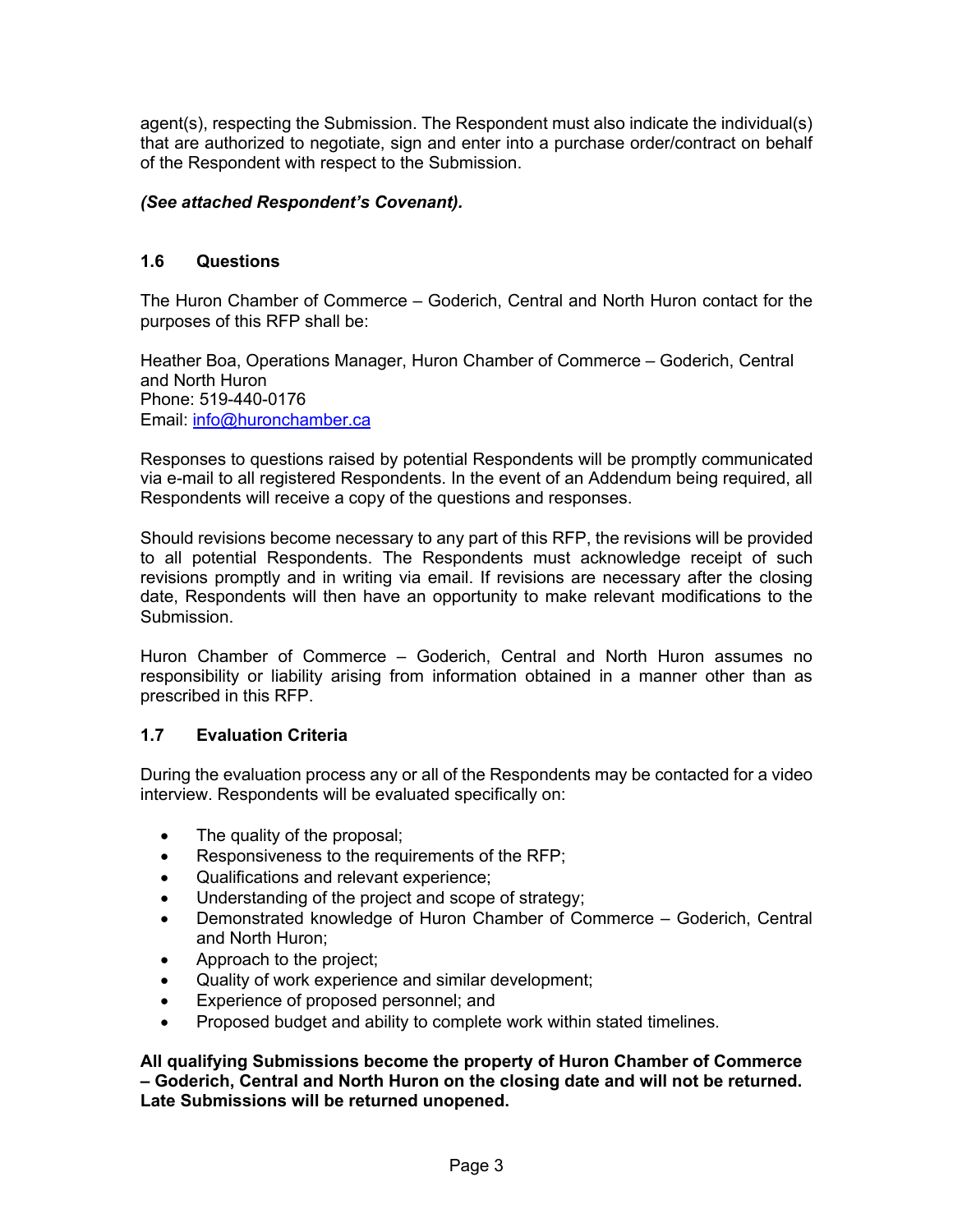agent(s), respecting the Submission. The Respondent must also indicate the individual(s) that are authorized to negotiate, sign and enter into a purchase order/contract on behalf of the Respondent with respect to the Submission.

#### *(See attached Respondent's Covenant).*

#### **1.6 Questions**

The Huron Chamber of Commerce – Goderich, Central and North Huron contact for the purposes of this RFP shall be:

Heather Boa, Operations Manager, Huron Chamber of Commerce – Goderich, Central and North Huron Phone: 519-440-0176 Email: info@huronchamber.ca

Responses to questions raised by potential Respondents will be promptly communicated via e-mail to all registered Respondents. In the event of an Addendum being required, all Respondents will receive a copy of the questions and responses.

Should revisions become necessary to any part of this RFP, the revisions will be provided to all potential Respondents. The Respondents must acknowledge receipt of such revisions promptly and in writing via email. If revisions are necessary after the closing date, Respondents will then have an opportunity to make relevant modifications to the Submission.

Huron Chamber of Commerce – Goderich, Central and North Huron assumes no responsibility or liability arising from information obtained in a manner other than as prescribed in this RFP.

#### **1.7 Evaluation Criteria**

During the evaluation process any or all of the Respondents may be contacted for a video interview. Respondents will be evaluated specifically on:

- The quality of the proposal;
- Responsiveness to the requirements of the RFP;
- Qualifications and relevant experience;
- Understanding of the project and scope of strategy;
- Demonstrated knowledge of Huron Chamber of Commerce Goderich, Central and North Huron;
- Approach to the project;
- Quality of work experience and similar development;
- Experience of proposed personnel; and
- Proposed budget and ability to complete work within stated timelines.

**All qualifying Submissions become the property of Huron Chamber of Commerce – Goderich, Central and North Huron on the closing date and will not be returned. Late Submissions will be returned unopened.**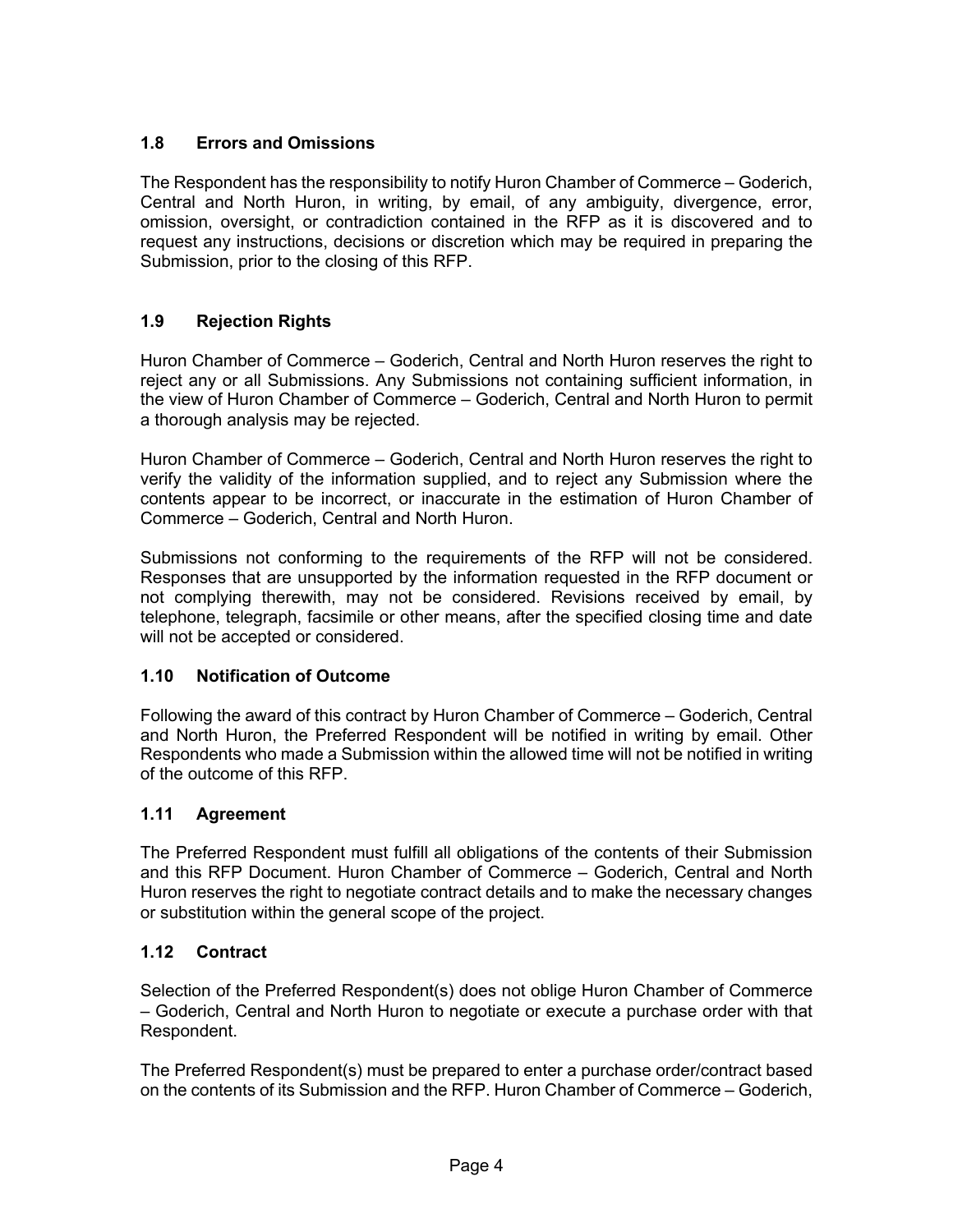# **1.8 Errors and Omissions**

The Respondent has the responsibility to notify Huron Chamber of Commerce – Goderich, Central and North Huron, in writing, by email, of any ambiguity, divergence, error, omission, oversight, or contradiction contained in the RFP as it is discovered and to request any instructions, decisions or discretion which may be required in preparing the Submission, prior to the closing of this RFP.

# **1.9 Rejection Rights**

Huron Chamber of Commerce – Goderich, Central and North Huron reserves the right to reject any or all Submissions. Any Submissions not containing sufficient information, in the view of Huron Chamber of Commerce – Goderich, Central and North Huron to permit a thorough analysis may be rejected.

Huron Chamber of Commerce – Goderich, Central and North Huron reserves the right to verify the validity of the information supplied, and to reject any Submission where the contents appear to be incorrect, or inaccurate in the estimation of Huron Chamber of Commerce – Goderich, Central and North Huron.

Submissions not conforming to the requirements of the RFP will not be considered. Responses that are unsupported by the information requested in the RFP document or not complying therewith, may not be considered. Revisions received by email, by telephone, telegraph, facsimile or other means, after the specified closing time and date will not be accepted or considered.

#### **1.10 Notification of Outcome**

Following the award of this contract by Huron Chamber of Commerce – Goderich, Central and North Huron, the Preferred Respondent will be notified in writing by email. Other Respondents who made a Submission within the allowed time will not be notified in writing of the outcome of this RFP.

#### **1.11 Agreement**

The Preferred Respondent must fulfill all obligations of the contents of their Submission and this RFP Document. Huron Chamber of Commerce – Goderich, Central and North Huron reserves the right to negotiate contract details and to make the necessary changes or substitution within the general scope of the project.

#### **1.12 Contract**

Selection of the Preferred Respondent(s) does not oblige Huron Chamber of Commerce – Goderich, Central and North Huron to negotiate or execute a purchase order with that Respondent.

The Preferred Respondent(s) must be prepared to enter a purchase order/contract based on the contents of its Submission and the RFP. Huron Chamber of Commerce – Goderich,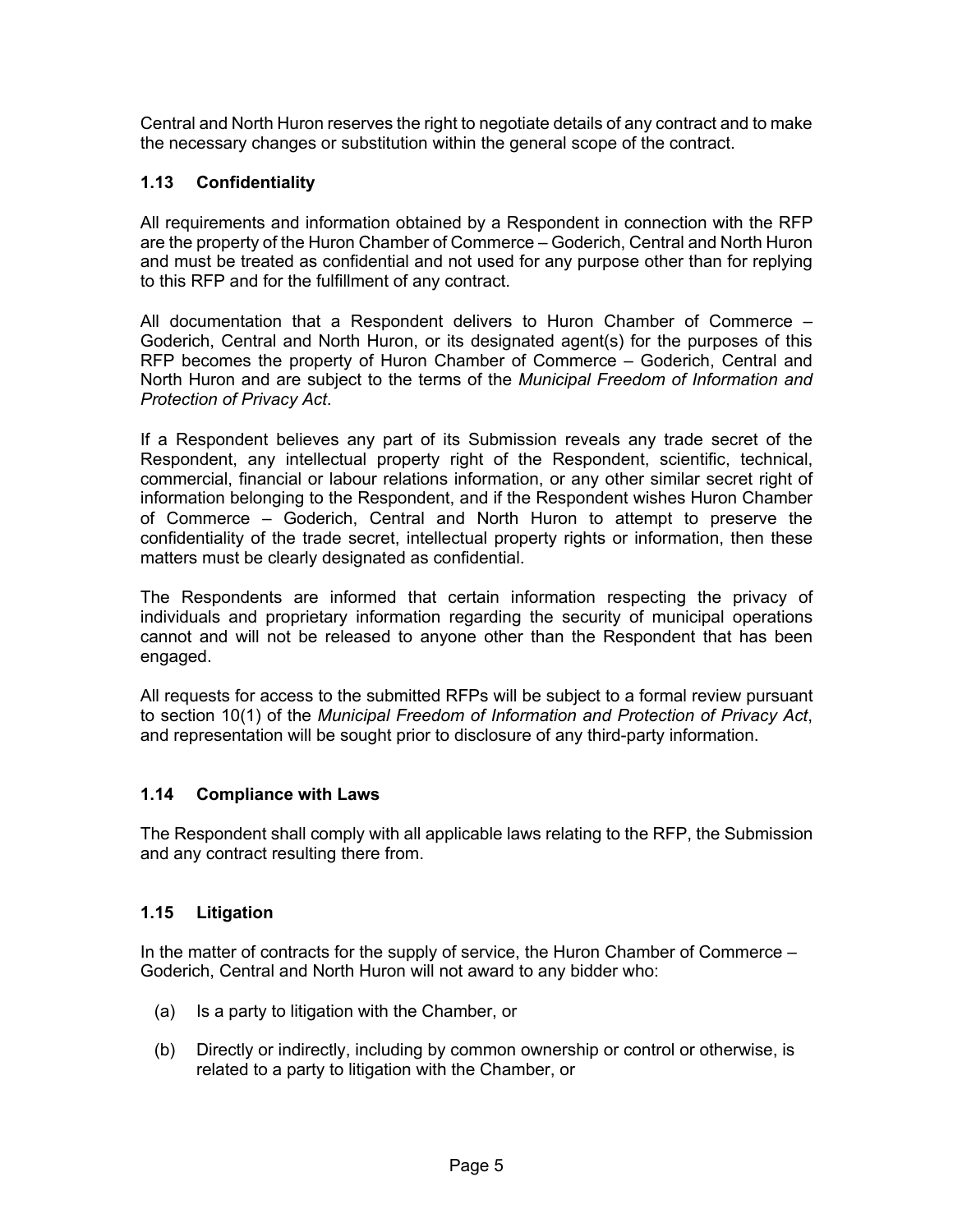Central and North Huron reserves the right to negotiate details of any contract and to make the necessary changes or substitution within the general scope of the contract.

#### **1.13 Confidentiality**

All requirements and information obtained by a Respondent in connection with the RFP are the property of the Huron Chamber of Commerce – Goderich, Central and North Huron and must be treated as confidential and not used for any purpose other than for replying to this RFP and for the fulfillment of any contract.

All documentation that a Respondent delivers to Huron Chamber of Commerce – Goderich, Central and North Huron, or its designated agent(s) for the purposes of this RFP becomes the property of Huron Chamber of Commerce – Goderich, Central and North Huron and are subject to the terms of the *Municipal Freedom of Information and Protection of Privacy Act*.

If a Respondent believes any part of its Submission reveals any trade secret of the Respondent, any intellectual property right of the Respondent, scientific, technical, commercial, financial or labour relations information, or any other similar secret right of information belonging to the Respondent, and if the Respondent wishes Huron Chamber of Commerce – Goderich, Central and North Huron to attempt to preserve the confidentiality of the trade secret, intellectual property rights or information, then these matters must be clearly designated as confidential.

The Respondents are informed that certain information respecting the privacy of individuals and proprietary information regarding the security of municipal operations cannot and will not be released to anyone other than the Respondent that has been engaged.

All requests for access to the submitted RFPs will be subject to a formal review pursuant to section 10(1) of the *Municipal Freedom of Information and Protection of Privacy Act*, and representation will be sought prior to disclosure of any third-party information.

#### **1.14 Compliance with Laws**

The Respondent shall comply with all applicable laws relating to the RFP, the Submission and any contract resulting there from.

#### **1.15 Litigation**

In the matter of contracts for the supply of service, the Huron Chamber of Commerce – Goderich, Central and North Huron will not award to any bidder who:

- (a) Is a party to litigation with the Chamber, or
- (b) Directly or indirectly, including by common ownership or control or otherwise, is related to a party to litigation with the Chamber, or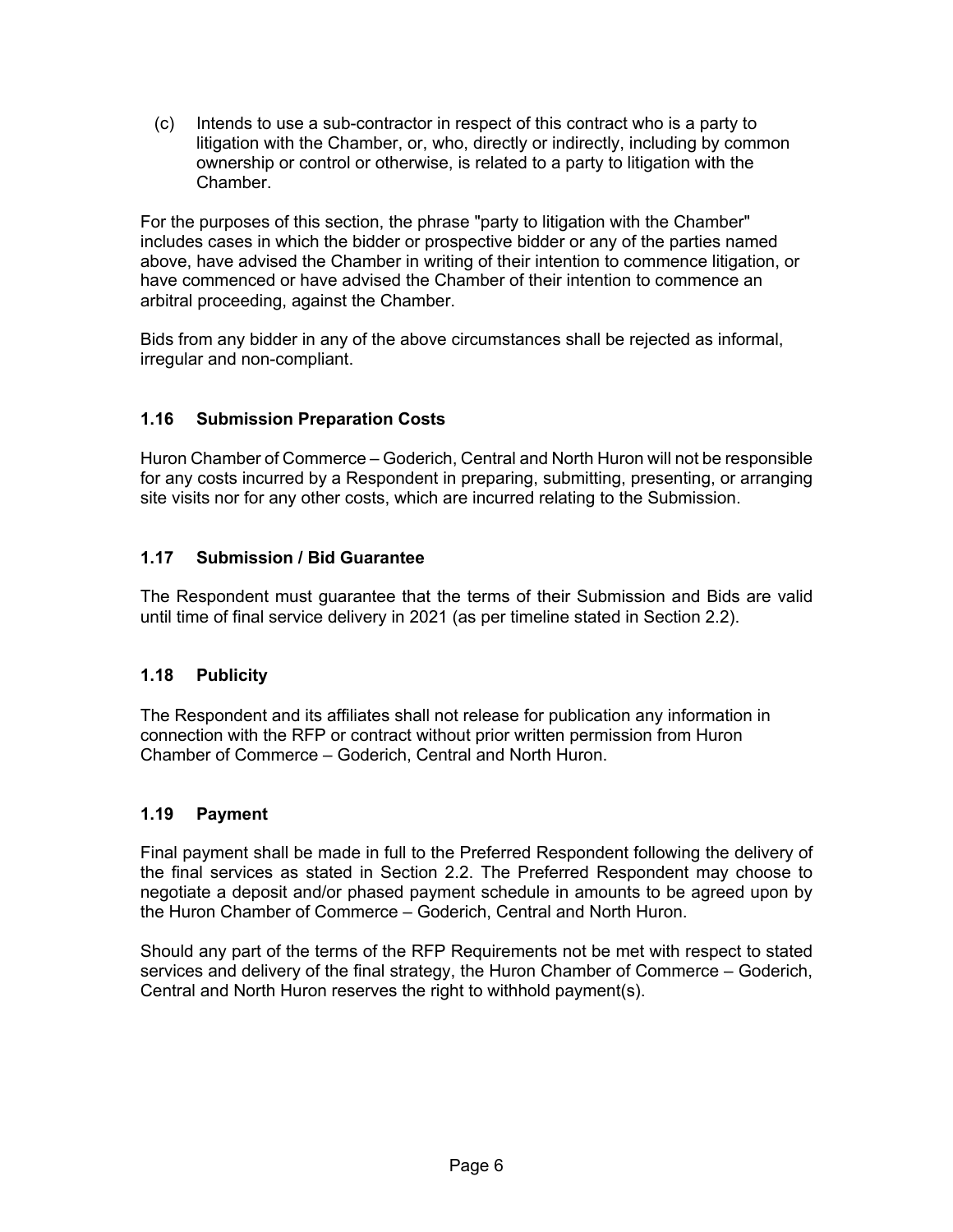(c) Intends to use a sub-contractor in respect of this contract who is a party to litigation with the Chamber, or, who, directly or indirectly, including by common ownership or control or otherwise, is related to a party to litigation with the Chamber.

For the purposes of this section, the phrase "party to litigation with the Chamber" includes cases in which the bidder or prospective bidder or any of the parties named above, have advised the Chamber in writing of their intention to commence litigation, or have commenced or have advised the Chamber of their intention to commence an arbitral proceeding, against the Chamber.

Bids from any bidder in any of the above circumstances shall be rejected as informal, irregular and non-compliant.

# **1.16 Submission Preparation Costs**

Huron Chamber of Commerce – Goderich, Central and North Huron will not be responsible for any costs incurred by a Respondent in preparing, submitting, presenting, or arranging site visits nor for any other costs, which are incurred relating to the Submission.

# **1.17 Submission / Bid Guarantee**

The Respondent must guarantee that the terms of their Submission and Bids are valid until time of final service delivery in 2021 (as per timeline stated in Section 2.2).

#### **1.18 Publicity**

The Respondent and its affiliates shall not release for publication any information in connection with the RFP or contract without prior written permission from Huron Chamber of Commerce – Goderich, Central and North Huron.

#### **1.19 Payment**

Final payment shall be made in full to the Preferred Respondent following the delivery of the final services as stated in Section 2.2. The Preferred Respondent may choose to negotiate a deposit and/or phased payment schedule in amounts to be agreed upon by the Huron Chamber of Commerce – Goderich, Central and North Huron.

Should any part of the terms of the RFP Requirements not be met with respect to stated services and delivery of the final strategy, the Huron Chamber of Commerce – Goderich, Central and North Huron reserves the right to withhold payment(s).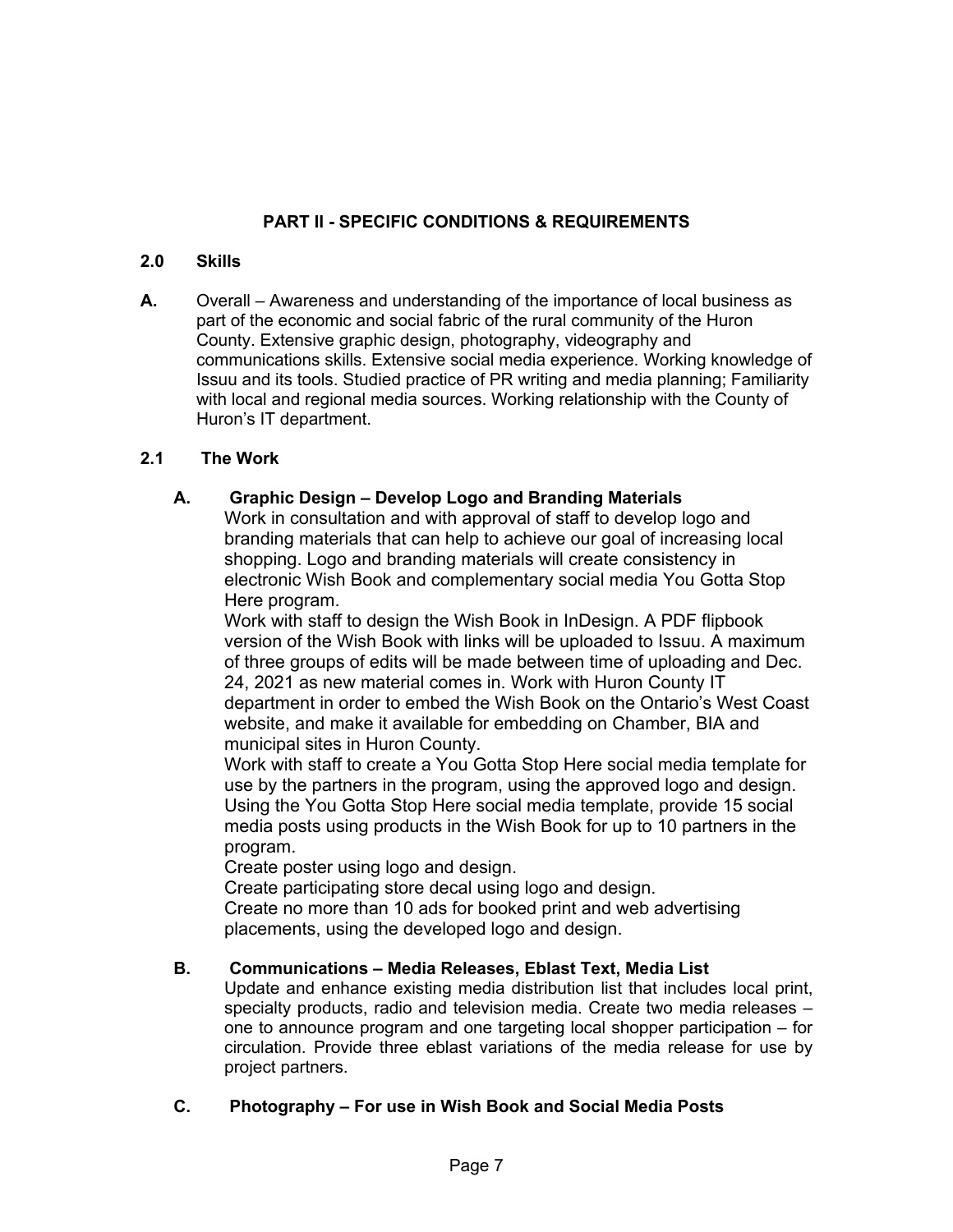# **PART II - SPECIFIC CONDITIONS & REQUIREMENTS**

#### **2.0 Skills**

**A.** Overall – Awareness and understanding of the importance of local business as part of the economic and social fabric of the rural community of the Huron County. Extensive graphic design, photography, videography and communications skills. Extensive social media experience. Working knowledge of Issuu and its tools. Studied practice of PR writing and media planning; Familiarity with local and regional media sources. Working relationship with the County of Huron's IT department.

#### **2.1 The Work**

#### **A. Graphic Design – Develop Logo and Branding Materials**

Work in consultation and with approval of staff to develop logo and branding materials that can help to achieve our goal of increasing local shopping. Logo and branding materials will create consistency in electronic Wish Book and complementary social media You Gotta Stop Here program.

Work with staff to design the Wish Book in InDesign. A PDF flipbook version of the Wish Book with links will be uploaded to Issuu. A maximum of three groups of edits will be made between time of uploading and Dec. 24, 2021 as new material comes in. Work with Huron County IT department in order to embed the Wish Book on the Ontario's West Coast website, and make it available for embedding on Chamber, BIA and municipal sites in Huron County.

Work with staff to create a You Gotta Stop Here social media template for use by the partners in the program, using the approved logo and design. Using the You Gotta Stop Here social media template, provide 15 social media posts using products in the Wish Book for up to 10 partners in the program.

Create poster using logo and design.

Create participating store decal using logo and design.

Create no more than 10 ads for booked print and web advertising placements, using the developed logo and design.

# **B. Communications – Media Releases, Eblast Text, Media List**

Update and enhance existing media distribution list that includes local print, specialty products, radio and television media. Create two media releases – one to announce program and one targeting local shopper participation – for circulation. Provide three eblast variations of the media release for use by project partners.

#### **C. Photography – For use in Wish Book and Social Media Posts**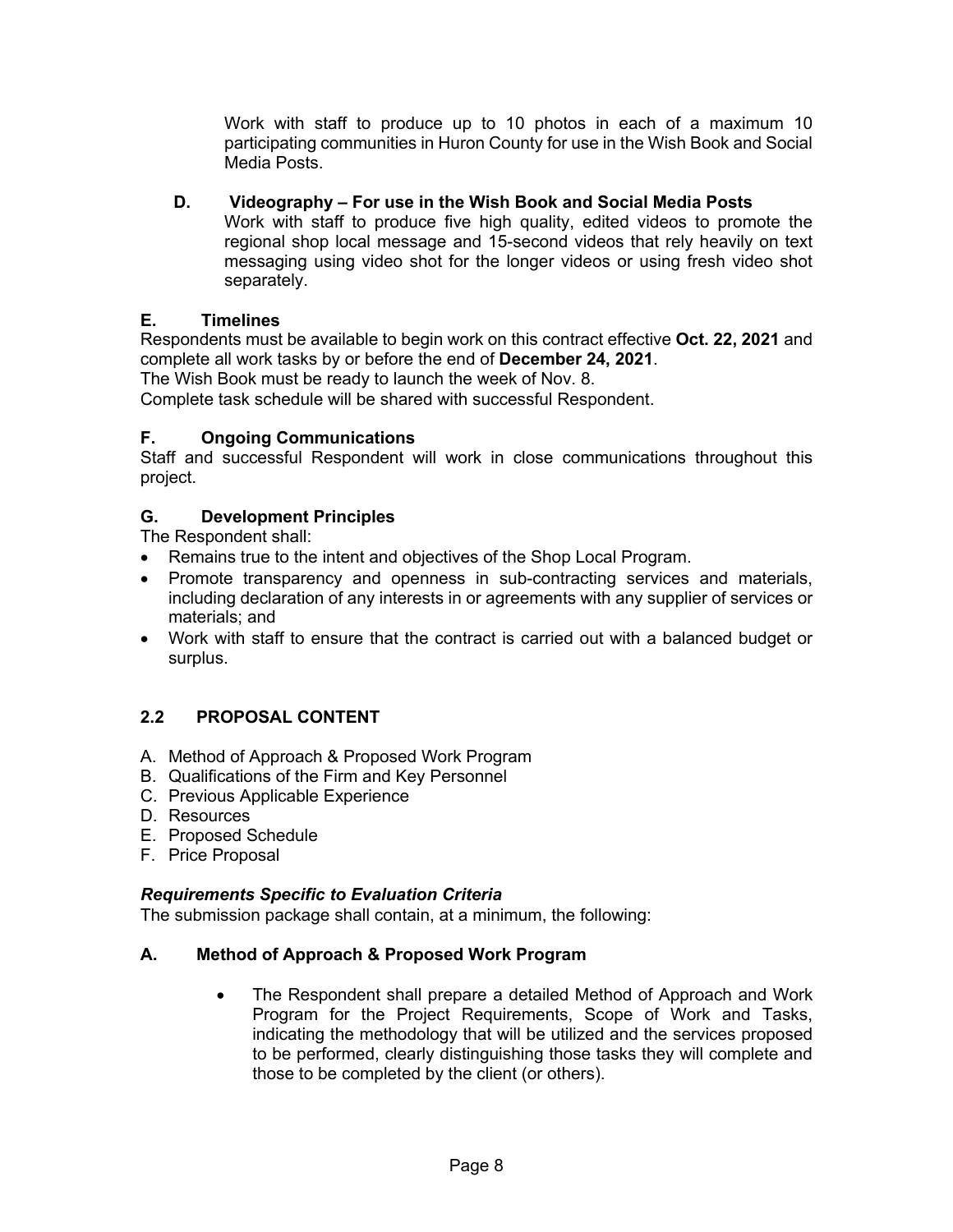Work with staff to produce up to 10 photos in each of a maximum 10 participating communities in Huron County for use in the Wish Book and Social Media Posts.

# **D. Videography – For use in the Wish Book and Social Media Posts**

Work with staff to produce five high quality, edited videos to promote the regional shop local message and 15-second videos that rely heavily on text messaging using video shot for the longer videos or using fresh video shot separately.

# **E. Timelines**

Respondents must be available to begin work on this contract effective **Oct. 22, 2021** and complete all work tasks by or before the end of **December 24, 2021**.

The Wish Book must be ready to launch the week of Nov. 8.

Complete task schedule will be shared with successful Respondent.

# **F. Ongoing Communications**

Staff and successful Respondent will work in close communications throughout this project.

# **G. Development Principles**

The Respondent shall:

- Remains true to the intent and objectives of the Shop Local Program.
- Promote transparency and openness in sub-contracting services and materials, including declaration of any interests in or agreements with any supplier of services or materials; and
- Work with staff to ensure that the contract is carried out with a balanced budget or surplus.

# **2.2 PROPOSAL CONTENT**

- A. Method of Approach & Proposed Work Program
- B. Qualifications of the Firm and Key Personnel
- C. Previous Applicable Experience
- D. Resources
- E. Proposed Schedule
- F. Price Proposal

#### *Requirements Specific to Evaluation Criteria*

The submission package shall contain, at a minimum, the following:

# **A. Method of Approach & Proposed Work Program**

• The Respondent shall prepare a detailed Method of Approach and Work Program for the Project Requirements, Scope of Work and Tasks, indicating the methodology that will be utilized and the services proposed to be performed, clearly distinguishing those tasks they will complete and those to be completed by the client (or others).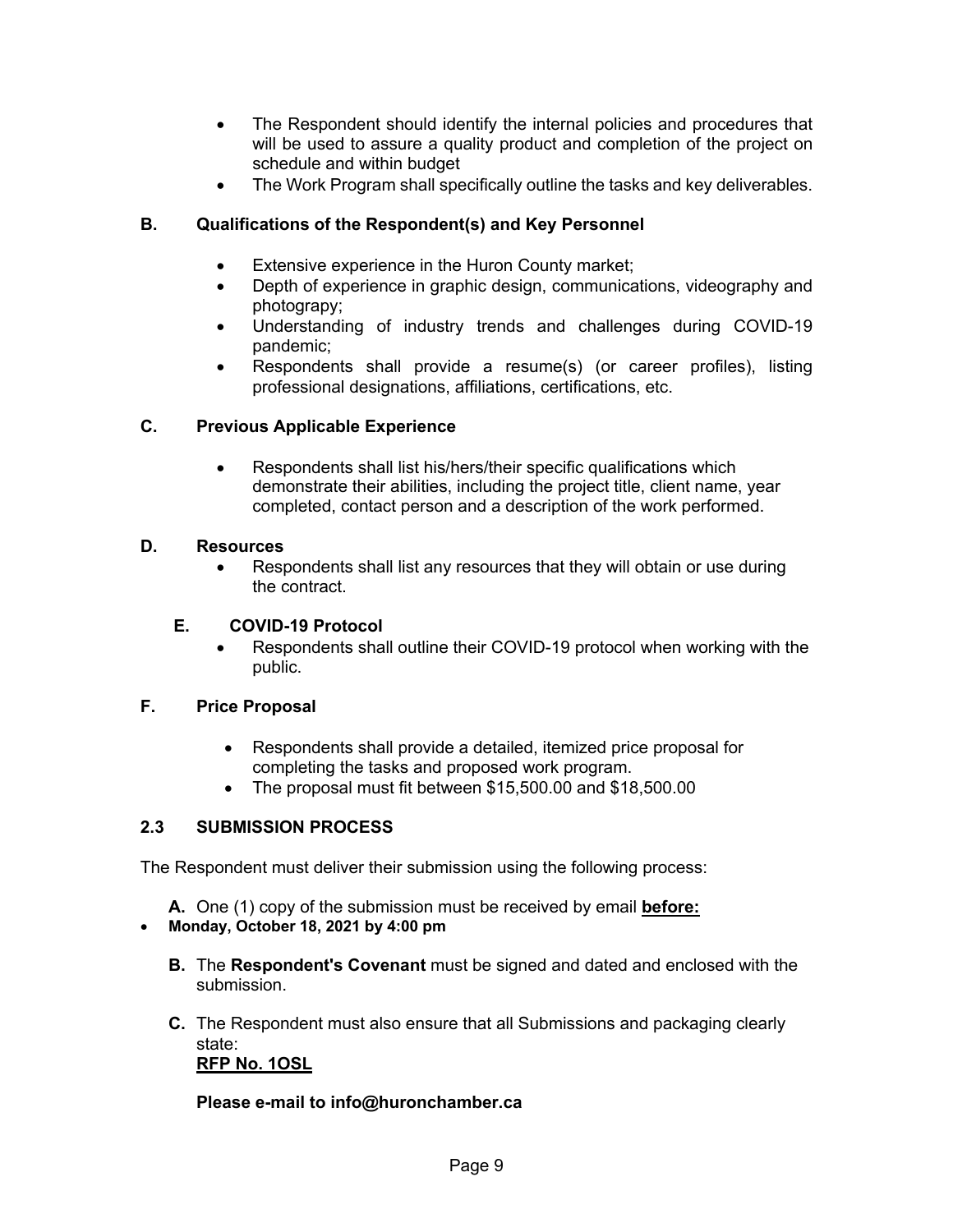- The Respondent should identify the internal policies and procedures that will be used to assure a quality product and completion of the project on schedule and within budget
- The Work Program shall specifically outline the tasks and key deliverables.

# **B. Qualifications of the Respondent(s) and Key Personnel**

- Extensive experience in the Huron County market;
- Depth of experience in graphic design, communications, videography and photograpy;
- Understanding of industry trends and challenges during COVID-19 pandemic;
- Respondents shall provide a resume(s) (or career profiles), listing professional designations, affiliations, certifications, etc.

#### **C. Previous Applicable Experience**

• Respondents shall list his/hers/their specific qualifications which demonstrate their abilities, including the project title, client name, year completed, contact person and a description of the work performed.

#### **D. Resources**

• Respondents shall list any resources that they will obtain or use during the contract.

#### **E. COVID-19 Protocol**

• Respondents shall outline their COVID-19 protocol when working with the public.

#### **F. Price Proposal**

- Respondents shall provide a detailed, itemized price proposal for completing the tasks and proposed work program.
- The proposal must fit between \$15,500.00 and \$18,500.00

#### **2.3 SUBMISSION PROCESS**

The Respondent must deliver their submission using the following process:

**A.** One (1) copy of the submission must be received by email **before:**

#### • **Monday, October 18, 2021 by 4:00 pm**

- **B.** The **Respondent's Covenant** must be signed and dated and enclosed with the submission.
- **C.** The Respondent must also ensure that all Submissions and packaging clearly state: **RFP No. 1OSL**

#### **Please e-mail to info@huronchamber.ca**